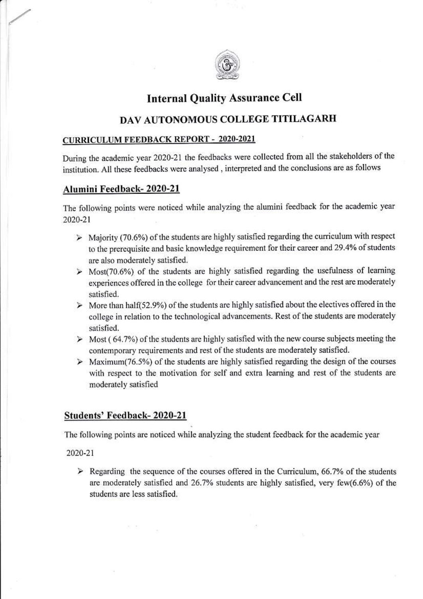

# **Internal Quality Assurance Cell**

## DAV AUTONOMOUS COLLEGE TITILAGARH

## **CURRICULUM FEEDBACK REPORT - 2020-2021**

During the academic year 2020-21 the feedbacks were collected from all the stakeholders of the institution. All these feedbacks were analysed, interpreted and the conclusions are as follows

## Alumini Feedback-2020-21

The following points were noticed while analyzing the alumini feedback for the academic year 2020-21

- $\triangleright$  Majority (70.6%) of the students are highly satisfied regarding the curriculum with respect to the prerequisite and basic knowledge requirement for their career and 29.4% of students are also moderately satisfied.
- $\triangleright$  Most(70.6%) of the students are highly satisfied regarding the usefulness of learning experiences offered in the college for their career advancement and the rest are moderately satisfied.
- $\triangleright$  More than half(52.9%) of the students are highly satisfied about the electives offered in the college in relation to the technological advancements. Rest of the students are moderately satisfied.
- $\triangleright$  Most (64.7%) of the students are highly satisfied with the new course subjects meeting the contemporary requirements and rest of the students are moderately satisfied.
- $\triangleright$  Maximum(76.5%) of the students are highly satisfied regarding the design of the courses with respect to the motivation for self and extra learning and rest of the students are moderately satisfied

## Students' Feedback-2020-21

The following points are noticed while analyzing the student feedback for the academic year

2020-21

 $\triangleright$  Regarding the sequence of the courses offered in the Curriculum, 66.7% of the students are moderately satisfied and 26.7% students are highly satisfied, very few(6.6%) of the students are less satisfied.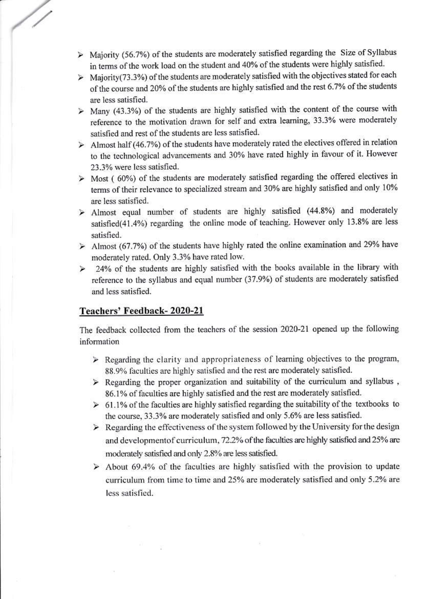- $\triangleright$  Majority (56.7%) of the students are moderately satisfied regarding the Size of Syllabus in terms of the work load on the student and 40% of the students were highly satisfied.
- $\geq$  Majority (73.3%) of the students are moderately satisfied with the objectives stated for each of the course and 20% of the students are highly satisfied and the rest 6.7% of the students are less satisfied.
- $\geq$  Many (43.3%) of the students are highly satisfied with the content of the course with reference to the motivation drawn for self and extra learning, 33.3% were moderately satisfied and rest of the students are less satisfied.
- $\triangleright$  Almost half (46.7%) of the students have moderately rated the electives offered in relation to the technological advancements and 30% have rated highly in favour of it. However 23.3% were less satisfied.
- $\triangleright$  Most (60%) of the students are moderately satisfied regarding the offered electives in terms of their relevance to specialized stream and 30% are highly satisfied and only 10% are less satisfied.
- > Almost equal number of students are highly satisfied (44.8%) and moderately satisfied(41.4%) regarding the online mode of teaching. However only 13.8% are less satisfied.
- $\geq$  Almost (67.7%) of the students have highly rated the online examination and 29% have moderately rated. Only 3.3% have rated low.
- $\geq$  24% of the students are highly satisfied with the books available in the library with reference to the syllabus and equal number (37.9%) of students are moderately satisfied and less satisfied.

## Teachers' Feedback-2020-21

The feedback collected from the teachers of the session 2020-21 opened up the following information

- $\triangleright$  Regarding the clarity and appropriateness of learning objectives to the program, 88.9% faculties are highly satisfied and the rest are moderately satisfied.
- $\triangleright$  Regarding the proper organization and suitability of the curriculum and syllabus, 86.1% of faculties are highly satisfied and the rest are moderately satisfied.
- $\geq 61.1\%$  of the faculties are highly satisfied regarding the suitability of the textbooks to the course, 33.3% are moderately satisfied and only 5.6% are less satisfied.
- $\triangleright$  Regarding the effectiveness of the system followed by the University for the design and developmentof curriculum, 72.2% of the faculties are highly satisfied and 25% are moderately satisfied and only 2.8% are less satisfied.
- $\triangleright$  About 69.4% of the faculties are highly satisfied with the provision to update curriculum from time to time and 25% are moderately satisfied and only 5.2% are less satisfied.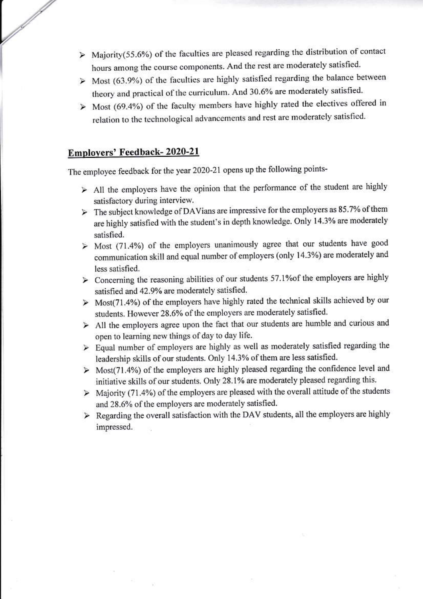- $\triangleright$  Majority(55.6%) of the faculties are pleased regarding the distribution of contact hours among the course components. And the rest are moderately satisfied.
- $\triangleright$  Most (63.9%) of the faculties are highly satisfied regarding the balance between theory and practical of the curriculum. And 30.6% are moderately satisfied.
- $\triangleright$  Most (69.4%) of the faculty members have highly rated the electives offered in relation to the technological advancements and rest are moderately satisfied.

## Employers' Feedback-2020-21

 $\mathbb{R}^2$ 

The employee feedback for the year 2020-21 opens up the following points-

- $\triangleright$  All the employers have the opinion that the performance of the student are highly satisfactory during interview.
- $\triangleright$  The subject knowledge of DAVians are impressive for the employers as 85.7% of them are highly satisfied with the student's in depth knowledge. Only 14.3% are moderately satisfied.
- $\geq$  Most (71.4%) of the employers unanimously agree that our students have good communication skill and equal number of employers (only 14.3%) are moderately and less satisfied.
- > Concerning the reasoning abilities of our students 57.1% of the employers are highly satisfied and 42.9% are moderately satisfied.
- $\triangleright$  Most(71.4%) of the employers have highly rated the technical skills achieved by our students. However 28.6% of the employers are moderately satisfied.
- $\triangleright$  All the employers agree upon the fact that our students are humble and curious and open to learning new things of day to day life.
- > Equal number of employers are highly as well as moderately satisfied regarding the leadership skills of our students. Only 14.3% of them are less satisfied.
- $\triangleright$  Most(71.4%) of the employers are highly pleased regarding the confidence level and initiative skills of our students. Only 28.1% are moderately pleased regarding this.
- $\triangleright$  Majority (71.4%) of the employers are pleased with the overall attitude of the students and 28.6% of the employers are moderately satisfied.
- > Regarding the overall satisfaction with the DAV students, all the employers are highly impressed.